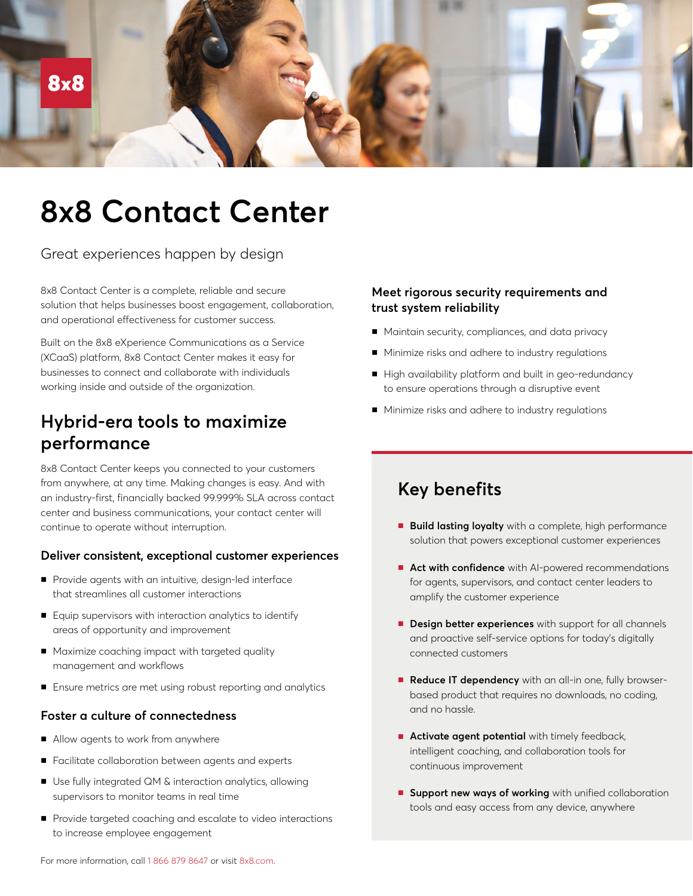

# **8x8 Contact Center**

Great experiences happen by design

8x8 Contact Center is a complete, reliable and secure solution that helps businesses boost engagement, collaboration, and operational effectiveness for customer success.

Built on the 8x8 eXperience Communications as a Service (XCaaS) platform, 8x8 Contact Center makes it easy for businesses to connect and collaborate with individuals working inside and outside of the organization.

# **Hybrid-era tools to maximize performance**

8x8 Contact Center keeps you connected to your customers from anywhere, at any time. Making changes is easy. And with an industry-first, financially backed 99.999% SLA across contact center and business communications, your contact center will continue to operate without interruption.

#### **Deliver consistent, exceptional customer experiences**

- Provide agents with an intuitive, design-led interface that streamlines all customer interactions
- Equip supervisors with interaction analytics to identify areas of opportunity and improvement
- Maximize coaching impact with targeted quality management and workflows
- Ensure metrics are met using robust reporting and analytics

#### **Foster a culture of connectedness**

- Allow agents to work from anywhere
- Facilitate collaboration between agents and experts
- Use fully integrated QM & interaction analytics, allowing supervisors to monitor teams in real time
- Provide targeted coaching and escalate to video interactions to increase employee engagement

### **Meet rigorous security requirements and trust system reliability**

- Maintain security, compliances, and data privacy
- Minimize risks and adhere to industry regulations
- High availability platform and built in geo-redundancy to ensure operations through a disruptive event
- Minimize risks and adhere to industry regulations

# **Key benefits**

- **Build lasting loyalty** with a complete, high performance solution that powers exceptional customer experiences
- **Act with confidence** with AI-powered recommendations for agents, supervisors, and contact center leaders to amplify the customer experience
- **Design better experiences** with support for all channels and proactive self-service options for today's digitally connected customers
- **Reduce IT dependency** with an all-in one, fully browserbased product that requires no downloads, no coding, and no hassle.
- **Activate agent potential** with timely feedback, intelligent coaching, and collaboration tools for continuous improvement
- **Support new ways of working** with unified collaboration tools and easy access from any device, anywhere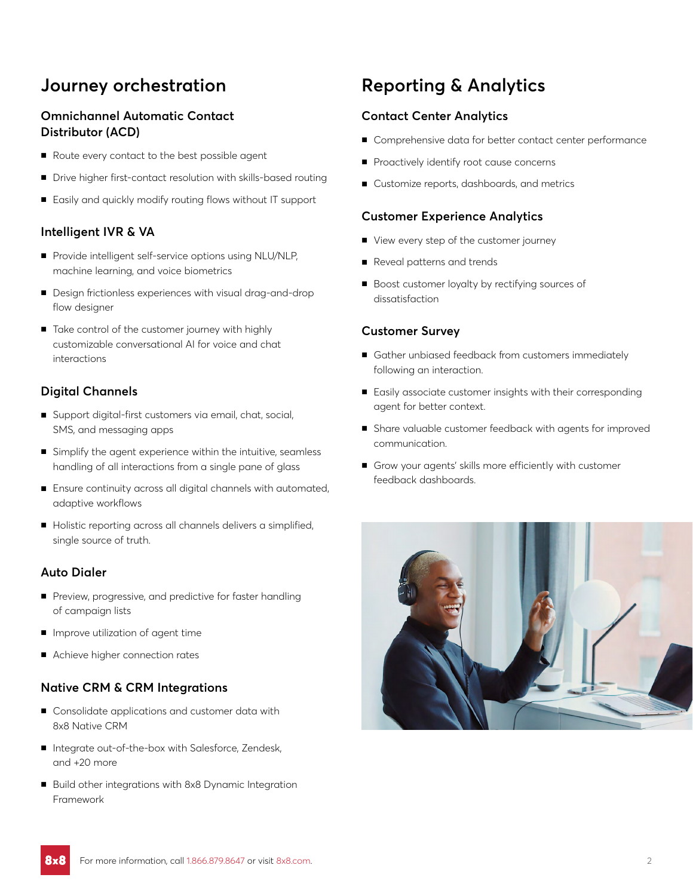# **Journey orchestration**

### **Omnichannel Automatic Contact Distributor (ACD)**

- Route every contact to the best possible agent
- Drive higher first-contact resolution with skills-based routing
- Easily and quickly modify routing flows without IT support

#### **Intelligent IVR & VA**

- Provide intelligent self-service options using NLU/NLP, machine learning, and voice biometrics
- Design frictionless experiences with visual drag-and-drop flow designer
- Take control of the customer journey with highly customizable conversational AI for voice and chat interactions

#### **Digital Channels**

- Support digital-first customers via email, chat, social, SMS, and messaging apps
- Simplify the agent experience within the intuitive, seamless handling of all interactions from a single pane of glass
- Ensure continuity across all digital channels with automated, adaptive workflows
- Holistic reporting across all channels delivers a simplified, single source of truth.

#### **Auto Dialer**

- Preview, progressive, and predictive for faster handling of campaign lists
- Improve utilization of agent time
- Achieve higher connection rates

#### **Native CRM & CRM Integrations**

- Consolidate applications and customer data with 8x8 Native CRM
- Integrate out-of-the-box with Salesforce, Zendesk, and +20 more
- Build other integrations with 8x8 Dynamic Integration Framework

# **Reporting & Analytics**

#### **Contact Center Analytics**

- Comprehensive data for better contact center performance
- Proactively identify root cause concerns
- Customize reports, dashboards, and metrics

#### **Customer Experience Analytics**

- View every step of the customer journey
- Reveal patterns and trends
- Boost customer loyalty by rectifying sources of dissatisfaction

#### **Customer Survey**

- Gather unbiased feedback from customers immediately following an interaction.
- Easily associate customer insights with their corresponding agent for better context.
- Share valuable customer feedback with agents for improved communication.
- Grow your agents' skills more efficiently with customer feedback dashboards.